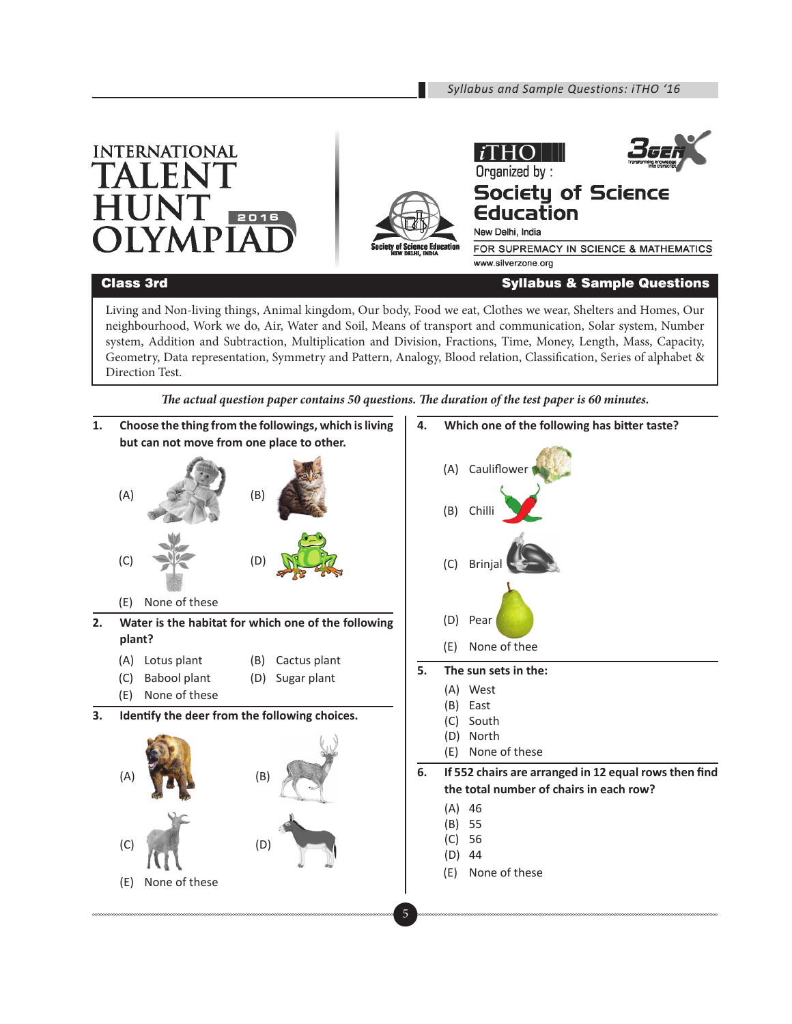Organized by:

New Delhi, India







## **Society of Science** Education

FOR SUPREMACY IN SCIENCE & MATHEMATICS www.silverzone.org

## Class 3rd Syllabus & Sample Questions

Living and Non-living things, Animal kingdom, Our body, Food we eat, Clothes we wear, Shelters and Homes, Our neighbourhood, Work we do, Air, Water and Soil, Means of transport and communication, Solar system, Number system, Addition and Subtraction, Multiplication and Division, Fractions, Time, Money, Length, Mass, Capacity, Geometry, Data representation, Symmetry and Pattern, Analogy, Blood relation, Classification, Series of alphabet & Direction Test.



*The actual question paper contains 50 questions. The duration of the test paper is 60 minutes.*